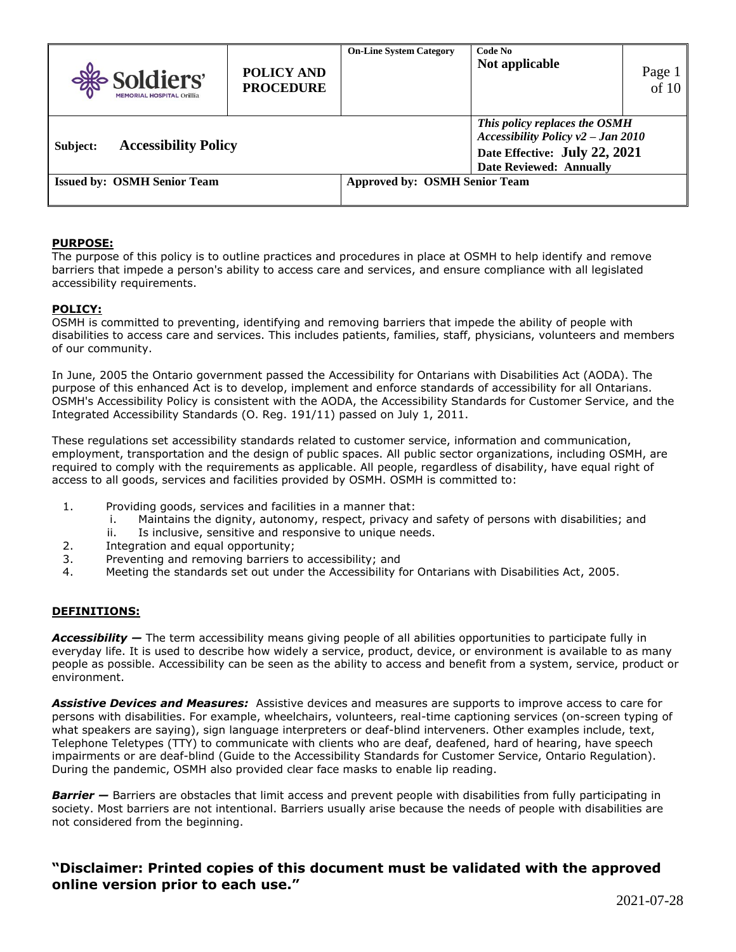| Soldiers'<br><b>MEMORIAL HOSPITAL Orillia</b>                              | <b>POLICY AND</b><br><b>PROCEDURE</b> | <b>On-Line System Category</b> | Code No<br>Not applicable                                                                                                                 | Page 1<br>of 10 |
|----------------------------------------------------------------------------|---------------------------------------|--------------------------------|-------------------------------------------------------------------------------------------------------------------------------------------|-----------------|
| <b>Accessibility Policy</b><br>Subject:                                    |                                       |                                | This policy replaces the OSMH<br>Accessibility Policy $v^2$ – Jan 2010<br>Date Effective: July 22, 2021<br><b>Date Reviewed: Annually</b> |                 |
| <b>Approved by: OSMH Senior Team</b><br><b>Issued by: OSMH Senior Team</b> |                                       |                                |                                                                                                                                           |                 |

### **PURPOSE:**

The purpose of this policy is to outline practices and procedures in place at OSMH to help identify and remove barriers that impede a person's ability to access care and services, and ensure compliance with all legislated accessibility requirements.

#### **POLICY:**

OSMH is committed to preventing, identifying and removing barriers that impede the ability of people with disabilities to access care and services. This includes patients, families, staff, physicians, volunteers and members of our community.

In June, 2005 the Ontario government passed the Accessibility for Ontarians with Disabilities Act (AODA). The purpose of this enhanced Act is to develop, implement and enforce standards of accessibility for all Ontarians. OSMH's Accessibility Policy is consistent with the AODA, the Accessibility Standards for Customer Service, and the Integrated Accessibility Standards (O. Reg. 191/11) passed on July 1, 2011.

These regulations set accessibility standards related to customer service, information and communication, employment, transportation and the design of public spaces. All public sector organizations, including OSMH, are required to comply with the requirements as applicable. All people, regardless of disability, have equal right of access to all goods, services and facilities provided by OSMH. OSMH is committed to:

- 1. Providing goods, services and facilities in a manner that:
	- i. Maintains the dignity, autonomy, respect, privacy and safety of persons with disabilities; and
	- ii. Is inclusive, sensitive and responsive to unique needs.
- 2. Integration and equal opportunity;
- 3. Preventing and removing barriers to accessibility; and
- 4. Meeting the standards set out under the Accessibility for Ontarians with Disabilities Act, 2005.

#### **DEFINITIONS:**

*Accessibility —* The term accessibility means giving people of all abilities opportunities to participate fully in everyday life. It is used to describe how widely a service, product, device, or environment is available to as many people as possible. Accessibility can be seen as the ability to access and benefit from a system, service, product or environment.

*Assistive Devices and Measures:* Assistive devices and measures are supports to improve access to care for persons with disabilities. For example, wheelchairs, volunteers, real-time captioning services (on-screen typing of what speakers are saying), sign language interpreters or deaf-blind interveners. Other examples include, text, Telephone Teletypes (TTY) to communicate with clients who are deaf, deafened, hard of hearing, have speech impairments or are deaf-blind (Guide to the Accessibility Standards for Customer Service, Ontario Regulation). During the pandemic, OSMH also provided clear face masks to enable lip reading.

**Barrier –** Barriers are obstacles that limit access and prevent people with disabilities from fully participating in society. Most barriers are not intentional. Barriers usually arise because the needs of people with disabilities are not considered from the beginning.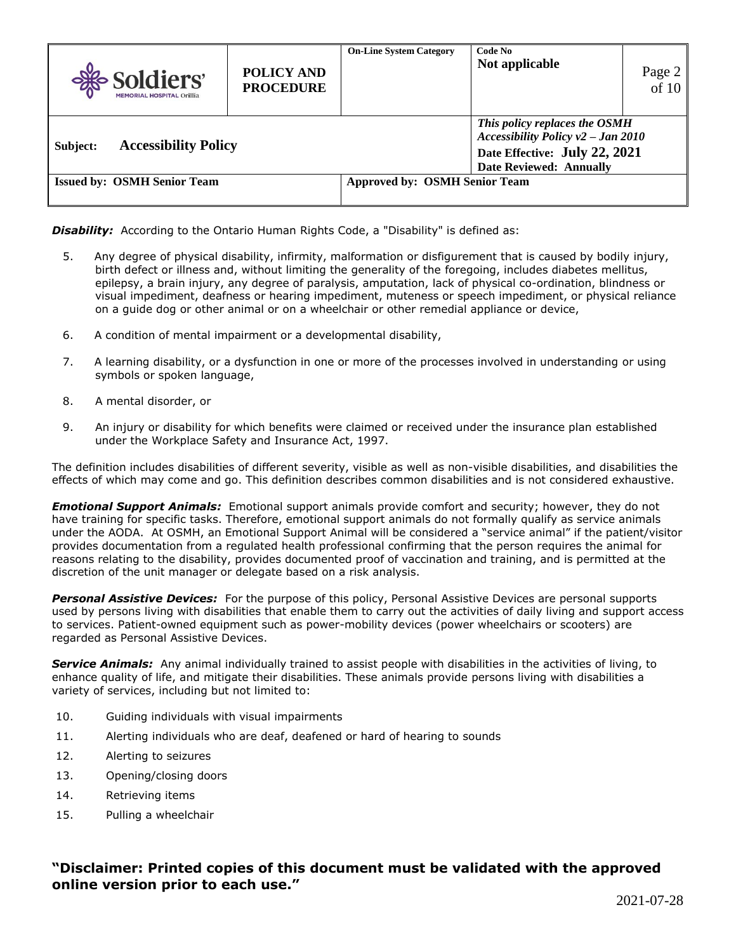| Soldiers'<br><b>MEMORIAL HOSPITAL Orillia</b>                              | POLICY AND<br><b>PROCEDURE</b> | <b>On-Line System Category</b> | Code No<br>Not applicable                                                                                                                 | Page 2<br>of 10 |
|----------------------------------------------------------------------------|--------------------------------|--------------------------------|-------------------------------------------------------------------------------------------------------------------------------------------|-----------------|
| <b>Accessibility Policy</b><br>Subject:                                    |                                |                                | This policy replaces the OSMH<br>Accessibility Policy $v^2$ – Jan 2010<br>Date Effective: July 22, 2021<br><b>Date Reviewed: Annually</b> |                 |
| <b>Approved by: OSMH Senior Team</b><br><b>Issued by: OSMH Senior Team</b> |                                |                                |                                                                                                                                           |                 |

**Disability:** According to the Ontario Human Rights Code, a "Disability" is defined as:

- 5. Any degree of physical disability, infirmity, malformation or disfigurement that is caused by bodily injury, birth defect or illness and, without limiting the generality of the foregoing, includes diabetes mellitus, epilepsy, a brain injury, any degree of paralysis, amputation, lack of physical co-ordination, blindness or visual impediment, deafness or hearing impediment, muteness or speech impediment, or physical reliance on a guide dog or other animal or on a wheelchair or other remedial appliance or device,
- 6. A condition of mental impairment or a developmental disability,
- 7. A learning disability, or a dysfunction in one or more of the processes involved in understanding or using symbols or spoken language,
- 8. A mental disorder, or
- 9. An injury or disability for which benefits were claimed or received under the insurance plan established under the Workplace Safety and Insurance Act, 1997.

The definition includes disabilities of different severity, visible as well as non-visible disabilities, and disabilities the effects of which may come and go. This definition describes common disabilities and is not considered exhaustive.

*Emotional Support Animals:* Emotional support animals provide comfort and security; however, they do not have training for specific tasks. Therefore, emotional support animals do not formally qualify as service animals under the AODA. At OSMH, an Emotional Support Animal will be considered a "service animal" if the patient/visitor provides documentation from a regulated health professional confirming that the person requires the animal for reasons relating to the disability, provides documented proof of vaccination and training, and is permitted at the discretion of the unit manager or delegate based on a risk analysis.

*Personal Assistive Devices:* For the purpose of this policy, Personal Assistive Devices are personal supports used by persons living with disabilities that enable them to carry out the activities of daily living and support access to services. Patient-owned equipment such as power-mobility devices (power wheelchairs or scooters) are regarded as Personal Assistive Devices.

*Service Animals:* Any animal individually trained to assist people with disabilities in the activities of living, to enhance quality of life, and mitigate their disabilities. These animals provide persons living with disabilities a variety of services, including but not limited to:

- 10. Guiding individuals with visual impairments
- 11. Alerting individuals who are deaf, deafened or hard of hearing to sounds
- 12. Alerting to seizures
- 13. Opening/closing doors
- 14. Retrieving items
- 15. Pulling a wheelchair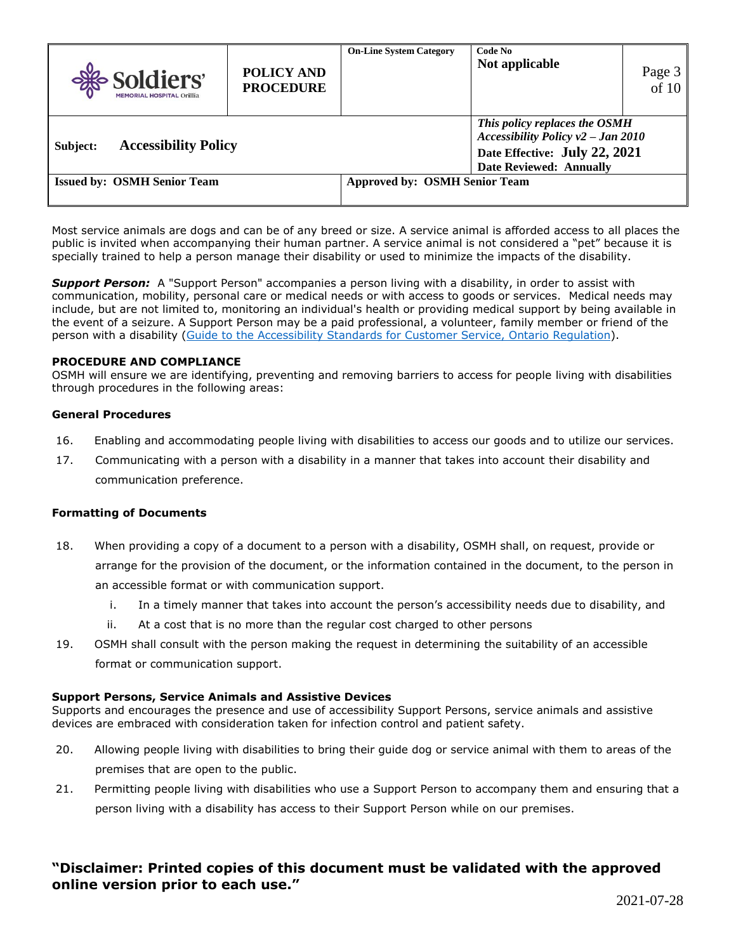| Soldiers'<br><b>MEMORIAL HOSPITAL Orillia</b>                              | <b>POLICY AND</b><br><b>PROCEDURE</b> | <b>On-Line System Category</b> | Code No<br>Not applicable                                                                                                                 | Page 3<br>of 10 |
|----------------------------------------------------------------------------|---------------------------------------|--------------------------------|-------------------------------------------------------------------------------------------------------------------------------------------|-----------------|
| <b>Accessibility Policy</b><br>Subject:                                    |                                       |                                | This policy replaces the OSMH<br>Accessibility Policy $v^2$ – Jan 2010<br>Date Effective: July 22, 2021<br><b>Date Reviewed: Annually</b> |                 |
| <b>Approved by: OSMH Senior Team</b><br><b>Issued by: OSMH Senior Team</b> |                                       |                                |                                                                                                                                           |                 |

Most service animals are dogs and can be of any breed or size. A service animal is afforded access to all places the public is invited when accompanying their human partner. A service animal is not considered a "pet" because it is specially trained to help a person manage their disability or used to minimize the impacts of the disability.

*Support Person:* A "Support Person" accompanies a person living with a disability, in order to assist with communication, mobility, personal care or medical needs or with access to goods or services. Medical needs may include, but are not limited to, monitoring an individual's health or providing medical support by being available in the event of a seizure. A Support Person may be a paid professional, a volunteer, family member or friend of the person with a disability [\(Guide to the Accessibility Standards for](https://www.aoda.ca/customer-care-guide/) Customer Service, Ontario Regulation).

#### **PROCEDURE AND COMPLIANCE**

OSMH will ensure we are identifying, preventing and removing barriers to access for people living with disabilities through procedures in the following areas:

#### **General Procedures**

- 16. Enabling and accommodating people living with disabilities to access our goods and to utilize our services.
- 17. Communicating with a person with a disability in a manner that takes into account their disability and communication preference.

#### **Formatting of Documents**

- 18. When providing a copy of a document to a person with a disability, OSMH shall, on request, provide or arrange for the provision of the document, or the information contained in the document, to the person in an accessible format or with communication support.
	- i. In a timely manner that takes into account the person's accessibility needs due to disability, and
	- ii. At a cost that is no more than the regular cost charged to other persons
- 19. OSMH shall consult with the person making the request in determining the suitability of an accessible format or communication support.

#### **Support Persons, Service Animals and Assistive Devices**

Supports and encourages the presence and use of accessibility Support Persons, service animals and assistive devices are embraced with consideration taken for infection control and patient safety.

- 20. Allowing people living with disabilities to bring their guide dog or service animal with them to areas of the premises that are open to the public.
- 21. Permitting people living with disabilities who use a Support Person to accompany them and ensuring that a person living with a disability has access to their Support Person while on our premises.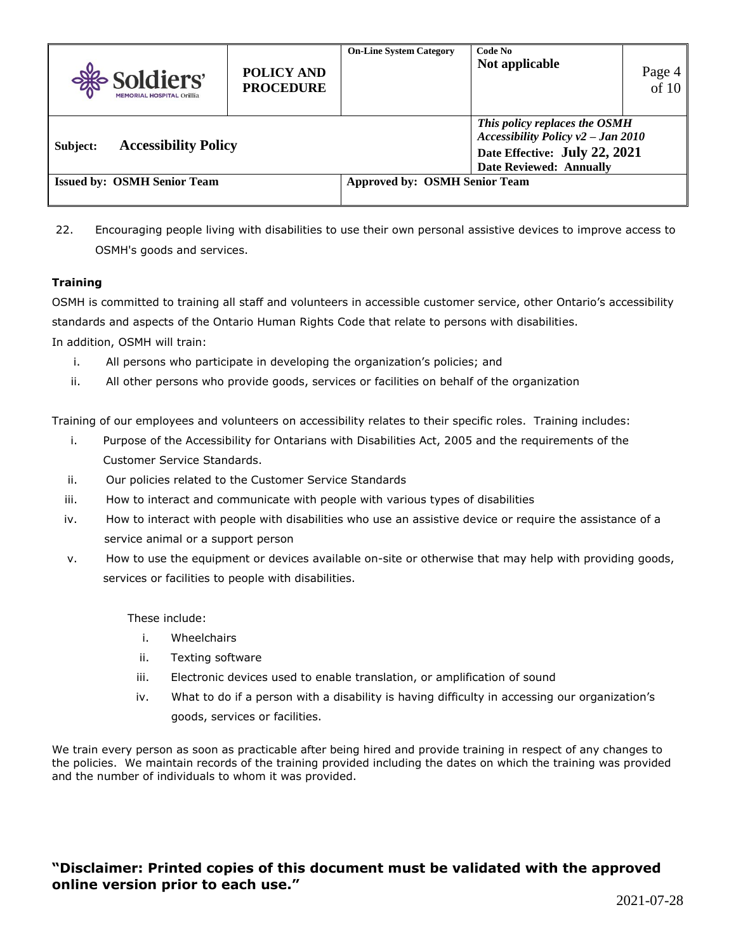| Soldiers'<br><b>MEMORIAL HOSPITAL Orillia</b> | <b>POLICY AND</b><br><b>PROCEDURE</b> | <b>On-Line System Category</b>       | Code No<br>Not applicable                                                                                                                 | Page 4<br>$\overline{of}$ 10 |
|-----------------------------------------------|---------------------------------------|--------------------------------------|-------------------------------------------------------------------------------------------------------------------------------------------|------------------------------|
| <b>Accessibility Policy</b><br>Subject:       |                                       |                                      | This policy replaces the OSMH<br>Accessibility Policy $v^2$ – Jan 2010<br>Date Effective: July 22, 2021<br><b>Date Reviewed: Annually</b> |                              |
| <b>Issued by: OSMH Senior Team</b>            |                                       | <b>Approved by: OSMH Senior Team</b> |                                                                                                                                           |                              |

22. Encouraging people living with disabilities to use their own personal assistive devices to improve access to OSMH's goods and services.

## **Training**

OSMH is committed to training all staff and volunteers in accessible customer service, other Ontario's accessibility standards and aspects of the Ontario Human Rights Code that relate to persons with disabilities. In addition, OSMH will train:

- i. All persons who participate in developing the organization's policies; and
- ii. All other persons who provide goods, services or facilities on behalf of the organization

Training of our employees and volunteers on accessibility relates to their specific roles. Training includes:

- i. Purpose of the Accessibility for Ontarians with Disabilities Act, 2005 and the requirements of the Customer Service Standards.
- ii. Our policies related to the Customer Service Standards
- iii. How to interact and communicate with people with various types of disabilities
- iv. How to interact with people with disabilities who use an assistive device or require the assistance of a service animal or a support person
- v. How to use the equipment or devices available on-site or otherwise that may help with providing goods, services or facilities to people with disabilities.

These include:

- i. Wheelchairs
- ii. Texting software
- iii. Electronic devices used to enable translation, or amplification of sound
- iv. What to do if a person with a disability is having difficulty in accessing our organization's goods, services or facilities.

We train every person as soon as practicable after being hired and provide training in respect of any changes to the policies. We maintain records of the training provided including the dates on which the training was provided and the number of individuals to whom it was provided.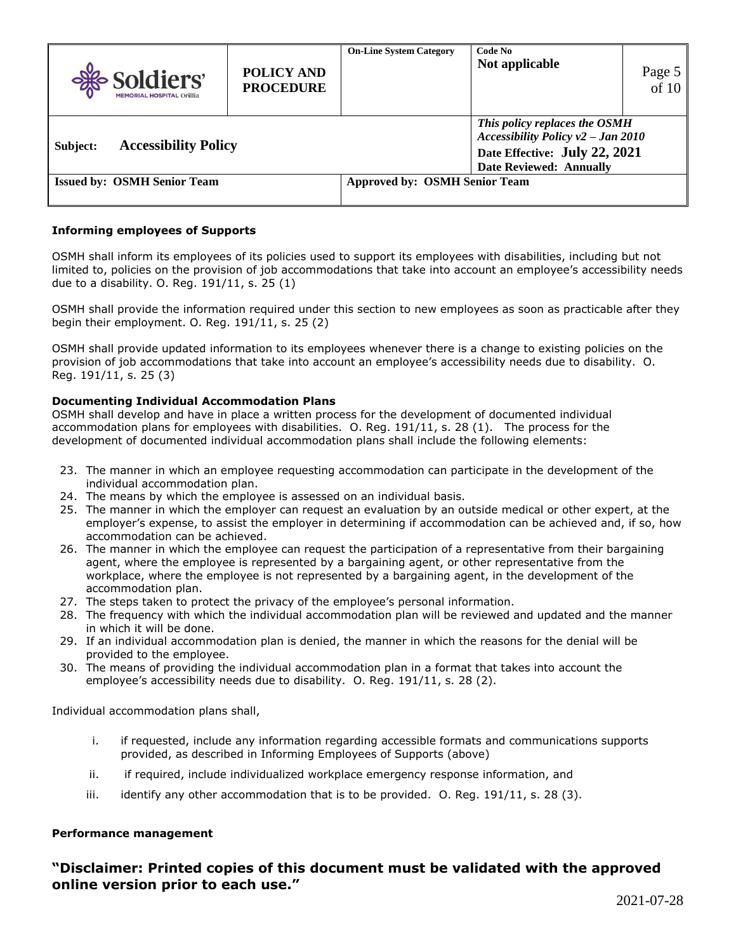| Soldiers'<br><b>MEMORIAL HOSPITAL Orillia</b> | <b>POLICY AND</b><br><b>PROCEDURE</b> | <b>On-Line System Category</b> | Code No<br>Not applicable                                                                                                                 | Page 5<br>of 10 |
|-----------------------------------------------|---------------------------------------|--------------------------------|-------------------------------------------------------------------------------------------------------------------------------------------|-----------------|
| <b>Accessibility Policy</b><br>Subject:       |                                       |                                | This policy replaces the OSMH<br>Accessibility Policy $v^2$ – Jan 2010<br>Date Effective: July 22, 2021<br><b>Date Reviewed: Annually</b> |                 |
| <b>Issued by: OSMH Senior Team</b>            | <b>Approved by: OSMH Senior Team</b>  |                                |                                                                                                                                           |                 |

### **Informing employees of Supports**

OSMH shall inform its employees of its policies used to support its employees with disabilities, including but not limited to, policies on the provision of job accommodations that take into account an employee's accessibility needs due to a disability. O. Reg. 191/11, s. 25 (1)

OSMH shall provide the information required under this section to new employees as soon as practicable after they begin their employment. O. Reg. 191/11, s. 25 (2)

OSMH shall provide updated information to its employees whenever there is a change to existing policies on the provision of job accommodations that take into account an employee's accessibility needs due to disability. O. Reg. 191/11, s. 25 (3)

#### **Documenting Individual Accommodation Plans**

OSMH shall develop and have in place a written process for the development of documented individual accommodation plans for employees with disabilities. O. Reg. 191/11, s. 28 (1). The process for the development of documented individual accommodation plans shall include the following elements:

- 23. The manner in which an employee requesting accommodation can participate in the development of the individual accommodation plan.
- 24. The means by which the employee is assessed on an individual basis.
- 25. The manner in which the employer can request an evaluation by an outside medical or other expert, at the employer's expense, to assist the employer in determining if accommodation can be achieved and, if so, how accommodation can be achieved.
- 26. The manner in which the employee can request the participation of a representative from their bargaining agent, where the employee is represented by a bargaining agent, or other representative from the workplace, where the employee is not represented by a bargaining agent, in the development of the accommodation plan.
- 27. The steps taken to protect the privacy of the employee's personal information.
- 28. The frequency with which the individual accommodation plan will be reviewed and updated and the manner in which it will be done.
- 29. If an individual accommodation plan is denied, the manner in which the reasons for the denial will be provided to the employee.
- 30. The means of providing the individual accommodation plan in a format that takes into account the employee's accessibility needs due to disability. O. Reg. 191/11, s. 28 (2).

Individual accommodation plans shall,

- i. if requested, include any information regarding accessible formats and communications supports provided, as described in Informing Employees of Supports (above)
- ii. if required, include individualized workplace emergency response information, and
- iii. identify any other accommodation that is to be provided. O. Req.  $191/11$ , s. 28 (3).

#### **Performance management**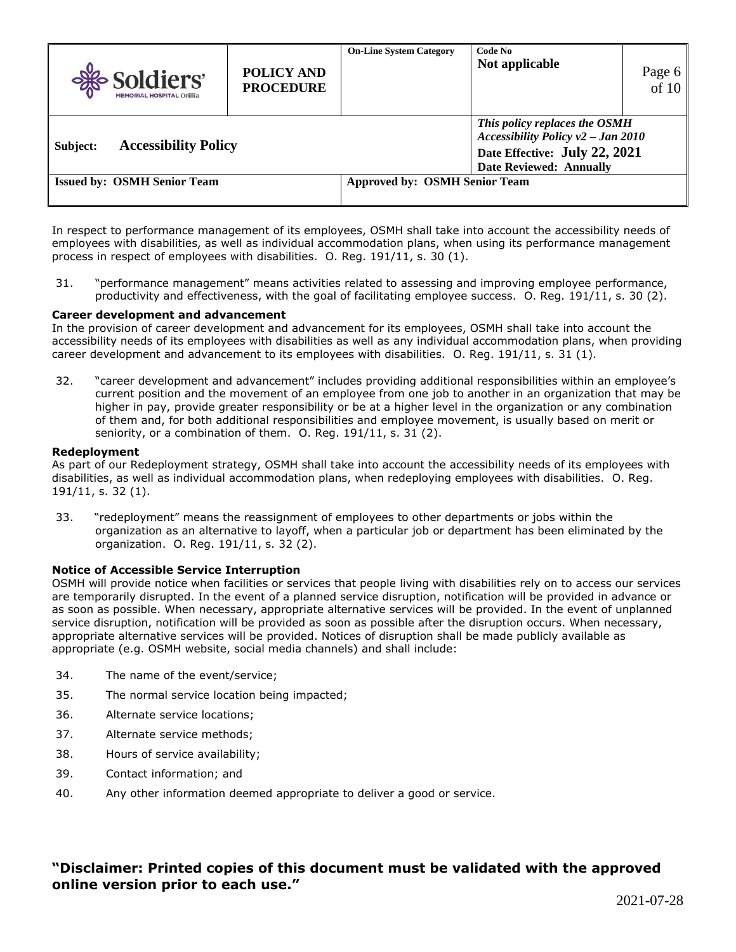| Soldiers'<br><b>MEMORIAL HOSPITAL Orillia</b>                              | <b>POLICY AND</b><br><b>PROCEDURE</b> | <b>On-Line System Category</b> | Code No<br>Not applicable                                                                                                                 | Page 6 of 10 |
|----------------------------------------------------------------------------|---------------------------------------|--------------------------------|-------------------------------------------------------------------------------------------------------------------------------------------|--------------|
| <b>Accessibility Policy</b><br>Subject:                                    |                                       |                                | This policy replaces the OSMH<br>Accessibility Policy $v^2$ – Jan 2010<br>Date Effective: July 22, 2021<br><b>Date Reviewed: Annually</b> |              |
| <b>Issued by: OSMH Senior Team</b><br><b>Approved by: OSMH Senior Team</b> |                                       |                                |                                                                                                                                           |              |

In respect to performance management of its employees, OSMH shall take into account the accessibility needs of employees with disabilities, as well as individual accommodation plans, when using its performance management process in respect of employees with disabilities. O. Reg. 191/11, s. 30 (1).

31. "performance management" means activities related to assessing and improving employee performance, productivity and effectiveness, with the goal of facilitating employee success. O. Reg. 191/11, s. 30 (2).

#### **Career development and advancement**

In the provision of career development and advancement for its employees, OSMH shall take into account the accessibility needs of its employees with disabilities as well as any individual accommodation plans, when providing career development and advancement to its employees with disabilities. O. Reg. 191/11, s. 31 (1).

32. "career development and advancement" includes providing additional responsibilities within an employee's current position and the movement of an employee from one job to another in an organization that may be higher in pay, provide greater responsibility or be at a higher level in the organization or any combination of them and, for both additional responsibilities and employee movement, is usually based on merit or seniority, or a combination of them. O. Reg. 191/11, s. 31 (2).

#### **Redeployment**

As part of our Redeployment strategy, OSMH shall take into account the accessibility needs of its employees with disabilities, as well as individual accommodation plans, when redeploying employees with disabilities. O. Reg. 191/11, s. 32 (1).

33. "redeployment" means the reassignment of employees to other departments or jobs within the organization as an alternative to layoff, when a particular job or department has been eliminated by the organization. O. Reg. 191/11, s. 32 (2).

#### **Notice of Accessible Service Interruption**

OSMH will provide notice when facilities or services that people living with disabilities rely on to access our services are temporarily disrupted. In the event of a planned service disruption, notification will be provided in advance or as soon as possible. When necessary, appropriate alternative services will be provided. In the event of unplanned service disruption, notification will be provided as soon as possible after the disruption occurs. When necessary, appropriate alternative services will be provided. Notices of disruption shall be made publicly available as appropriate (e.g. OSMH website, social media channels) and shall include:

- 34. The name of the event/service;
- 35. The normal service location being impacted;
- 36. Alternate service locations;
- 37. Alternate service methods;
- 38. Hours of service availability;
- 39. Contact information; and
- 40. Any other information deemed appropriate to deliver a good or service.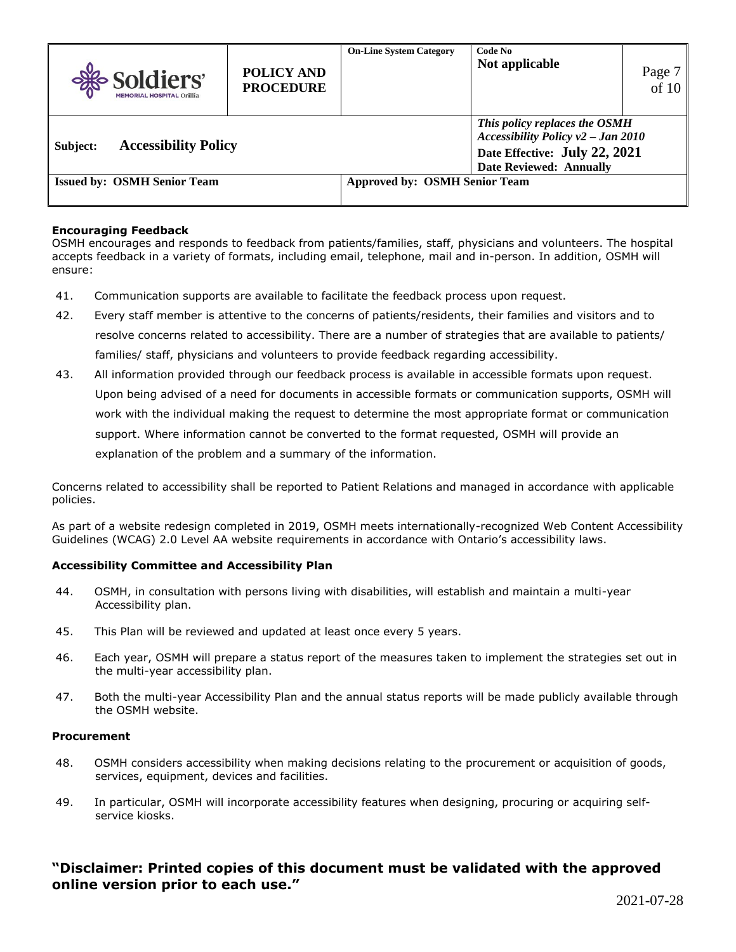| Soldiers'<br><b>MEMORIAL HOSPITAL Orillia</b> | <b>POLICY AND</b><br><b>PROCEDURE</b> | <b>On-Line System Category</b> | Code No<br>Not applicable                                                                                                                 | Page 7<br>of 10 |
|-----------------------------------------------|---------------------------------------|--------------------------------|-------------------------------------------------------------------------------------------------------------------------------------------|-----------------|
| <b>Accessibility Policy</b><br>Subject:       |                                       |                                | This policy replaces the OSMH<br>Accessibility Policy $v^2$ – Jan 2010<br>Date Effective: July 22, 2021<br><b>Date Reviewed: Annually</b> |                 |
| <b>Issued by: OSMH Senior Team</b>            | <b>Approved by: OSMH Senior Team</b>  |                                |                                                                                                                                           |                 |

#### **Encouraging Feedback**

OSMH encourages and responds to feedback from patients/families, staff, physicians and volunteers. The hospital accepts feedback in a variety of formats, including email, telephone, mail and in-person. In addition, OSMH will ensure:

- 41. Communication supports are available to facilitate the feedback process upon request.
- 42. Every staff member is attentive to the concerns of patients/residents, their families and visitors and to resolve concerns related to accessibility. There are a number of strategies that are available to patients/ families/ staff, physicians and volunteers to provide feedback regarding accessibility.
- 43. All information provided through our feedback process is available in accessible formats upon request. Upon being advised of a need for documents in accessible formats or communication supports, OSMH will work with the individual making the request to determine the most appropriate format or communication support. Where information cannot be converted to the format requested, OSMH will provide an explanation of the problem and a summary of the information.

Concerns related to accessibility shall be reported to Patient Relations and managed in accordance with applicable policies.

As part of a website redesign completed in 2019, OSMH meets internationally-recognized Web Content Accessibility Guidelines (WCAG) 2.0 Level AA website requirements in accordance with Ontario's accessibility laws.

#### **Accessibility Committee and Accessibility Plan**

- 44. OSMH, in consultation with persons living with disabilities, will establish and maintain a multi-year Accessibility plan.
- 45. This Plan will be reviewed and updated at least once every 5 years.
- 46. Each year, OSMH will prepare a status report of the measures taken to implement the strategies set out in the multi-year accessibility plan.
- 47. Both the multi-year Accessibility Plan and the annual status reports will be made publicly available through the OSMH website.

#### **Procurement**

- 48. OSMH considers accessibility when making decisions relating to the procurement or acquisition of goods, services, equipment, devices and facilities.
- 49. In particular, OSMH will incorporate accessibility features when designing, procuring or acquiring selfservice kiosks.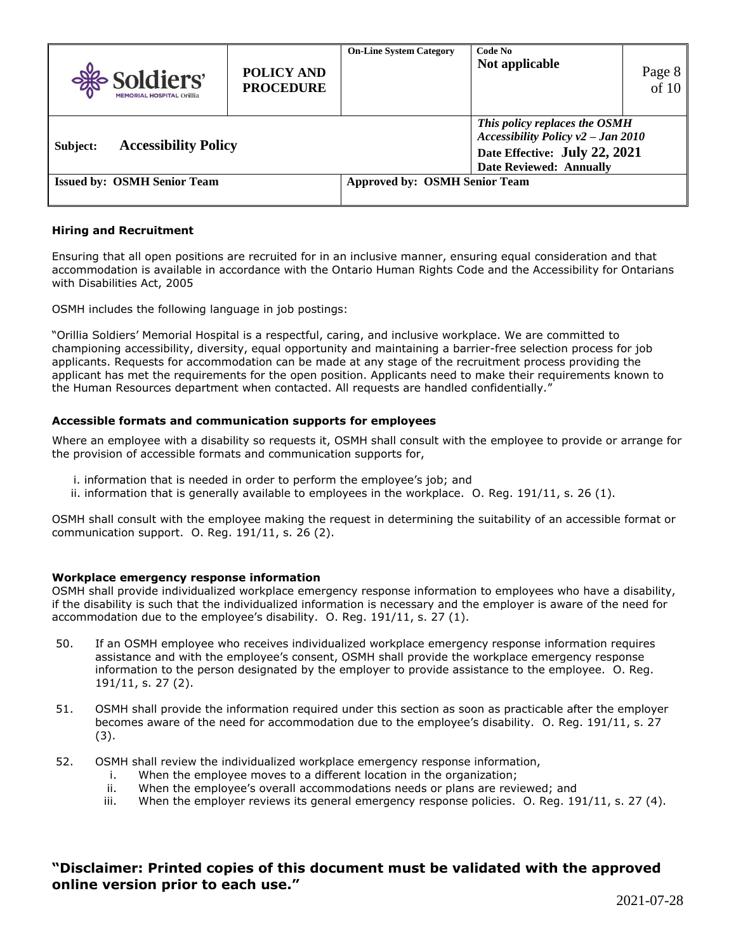| Soldiers'<br><b>MEMORIAL HOSPITAL Orillia</b>                              | <b>POLICY AND</b><br><b>PROCEDURE</b> | <b>On-Line System Category</b> | Code No<br>Not applicable                                                                                                                 | Page 8 of 10 |
|----------------------------------------------------------------------------|---------------------------------------|--------------------------------|-------------------------------------------------------------------------------------------------------------------------------------------|--------------|
| <b>Accessibility Policy</b><br>Subject:                                    |                                       |                                | This policy replaces the OSMH<br>Accessibility Policy $v^2$ – Jan 2010<br>Date Effective: July 22, 2021<br><b>Date Reviewed: Annually</b> |              |
| <b>Approved by: OSMH Senior Team</b><br><b>Issued by: OSMH Senior Team</b> |                                       |                                |                                                                                                                                           |              |

#### **Hiring and Recruitment**

Ensuring that all open positions are recruited for in an inclusive manner, ensuring equal consideration and that accommodation is available in accordance with the Ontario Human Rights Code and the Accessibility for Ontarians with Disabilities Act, 2005

OSMH includes the following language in job postings:

"Orillia Soldiers' Memorial Hospital is a respectful, caring, and inclusive workplace. We are committed to championing accessibility, diversity, equal opportunity and maintaining a barrier-free selection process for job applicants. Requests for accommodation can be made at any stage of the recruitment process providing the applicant has met the requirements for the open position. Applicants need to make their requirements known to the Human Resources department when contacted. All requests are handled confidentially."

#### **Accessible formats and communication supports for employees**

Where an employee with a disability so requests it, OSMH shall consult with the employee to provide or arrange for the provision of accessible formats and communication supports for,

- i. information that is needed in order to perform the employee's job; and
- ii. information that is generally available to employees in the workplace. O. Reg. 191/11, s. 26 (1).

OSMH shall consult with the employee making the request in determining the suitability of an accessible format or communication support. O. Reg. 191/11, s. 26 (2).

#### **Workplace emergency response information**

OSMH shall provide individualized workplace emergency response information to employees who have a disability, if the disability is such that the individualized information is necessary and the employer is aware of the need for accommodation due to the employee's disability. O. Reg. 191/11, s. 27 (1).

- 50. If an OSMH employee who receives individualized workplace emergency response information requires assistance and with the employee's consent, OSMH shall provide the workplace emergency response information to the person designated by the employer to provide assistance to the employee. O. Reg. 191/11, s. 27 (2).
- 51. OSMH shall provide the information required under this section as soon as practicable after the employer becomes aware of the need for accommodation due to the employee's disability. O. Reg. 191/11, s. 27 (3).
- 52. OSMH shall review the individualized workplace emergency response information,
	- i. When the employee moves to a different location in the organization;
	- ii. When the employee's overall accommodations needs or plans are reviewed; and
	- iii. When the employer reviews its general emergency response policies. O. Reg. 191/11, s. 27 (4).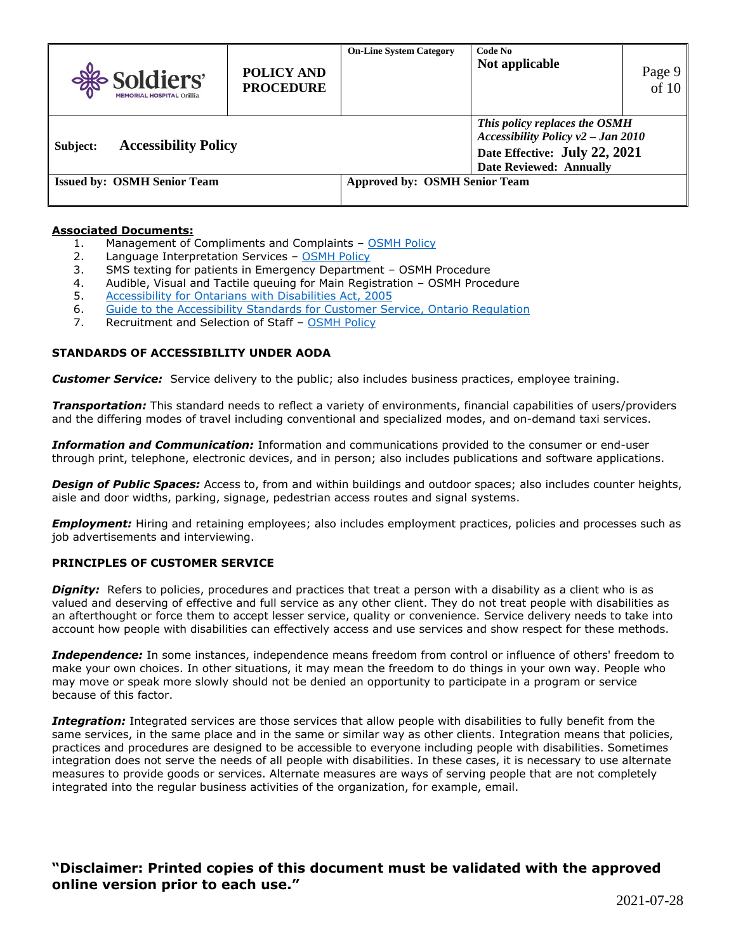| Soldiers'<br><b>MEMORIAL HOSPITAL Orillia</b> | POLICY AND<br><b>PROCEDURE</b>       | <b>On-Line System Category</b> | Code No<br>Not applicable                                                                                                                 | Page 9<br>$\overline{of}10$ |
|-----------------------------------------------|--------------------------------------|--------------------------------|-------------------------------------------------------------------------------------------------------------------------------------------|-----------------------------|
| <b>Accessibility Policy</b><br>Subject:       |                                      |                                | This policy replaces the OSMH<br>Accessibility Policy $v^2$ – Jan 2010<br>Date Effective: July 22, 2021<br><b>Date Reviewed: Annually</b> |                             |
| <b>Issued by: OSMH Senior Team</b>            | <b>Approved by: OSMH Senior Team</b> |                                |                                                                                                                                           |                             |

#### **Associated Documents:**

- 1. Management of Compliments and Complaints [OSMH Policy](http://policies.internal.osmh.on.ca/Content/ViewContent.aspx?contentId=34902b80-9ef5-4a44-a590-ea0bd1e7cae7&ContentTypeId=59463d38-689c-4479-9614-bac1e8d03f4c)
- 2. Language Interpretation Services [OSMH Policy](http://policies.internal.osmh.on.ca/Content/ViewContent.aspx?contentId=768eebc1-6a27-47bf-8da6-60241cc25b86&ContentTypeId=59463d38-689c-4479-9614-bac1e8d03f4c)
- 3. SMS texting for patients in Emergency Department OSMH Procedure
- 4. Audible, Visual and Tactile queuing for Main Registration OSMH Procedure
- 5. [Accessibility for Ontarians with Disabilities Act, 2005](https://www.ontario.ca/laws/statute/05a11)
- 6. [Guide to the Accessibility Standards for Customer Service, Ontario Regulation](https://www.ontario.ca/laws/regulation/070429)
- 7. Recruitment and Selection of Staff [OSMH Policy](http://policies.internal.osmh.on.ca/Content/ViewContent.aspx?contentId=9d946998-33d4-4457-b35b-318da11bb14a&ContentTypeId=59463d38-689c-4479-9614-bac1e8d03f4c)

#### **STANDARDS OF ACCESSIBILITY UNDER AODA**

*Customer Service:* Service delivery to the public; also includes business practices, employee training.

*Transportation:* This standard needs to reflect a variety of environments, financial capabilities of users/providers and the differing modes of travel including conventional and specialized modes, and on-demand taxi services.

*Information and Communication:* Information and communications provided to the consumer or end-user through print, telephone, electronic devices, and in person; also includes publications and software applications.

*Design of Public Spaces:* Access to, from and within buildings and outdoor spaces; also includes counter heights, aisle and door widths, parking, signage, pedestrian access routes and signal systems.

**Employment:** Hiring and retaining employees; also includes employment practices, policies and processes such as job advertisements and interviewing.

### **PRINCIPLES OF CUSTOMER SERVICE**

*Dignity:* Refers to policies, procedures and practices that treat a person with a disability as a client who is as valued and deserving of effective and full service as any other client. They do not treat people with disabilities as an afterthought or force them to accept lesser service, quality or convenience. Service delivery needs to take into account how people with disabilities can effectively access and use services and show respect for these methods.

*Independence:* In some instances, independence means freedom from control or influence of others' freedom to make your own choices. In other situations, it may mean the freedom to do things in your own way. People who may move or speak more slowly should not be denied an opportunity to participate in a program or service because of this factor.

*Integration:* Integrated services are those services that allow people with disabilities to fully benefit from the same services, in the same place and in the same or similar way as other clients. Integration means that policies, practices and procedures are designed to be accessible to everyone including people with disabilities. Sometimes integration does not serve the needs of all people with disabilities. In these cases, it is necessary to use alternate measures to provide goods or services. Alternate measures are ways of serving people that are not completely integrated into the regular business activities of the organization, for example, email.